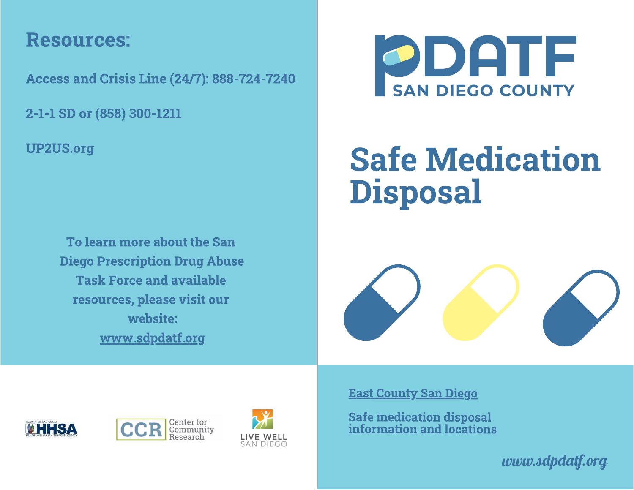## Resources:

Access and Crisis Line (24/7): 888-724-7240

2-1-1 SD or (858) 300-1211

UP2US.org

To learn more about the San Diego Prescription Drug Abuse **Task Force and available** resources, please visit our website: website: www.communication.com www.sdpdatf.org



# Safe Medication Disposal







East County San Diego

Safe medication disposal information and locations

*www.sdpdatf.org*